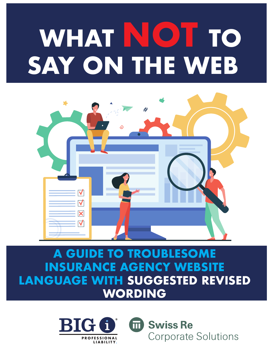# **WHAT NOT TO SAY ON THE WEB**



## **A GUIDE TO TROUBLESOM INSURANCE AGENCY WEBSITE LANGUAGE WITH SUGGESTED REVISED WORDING**



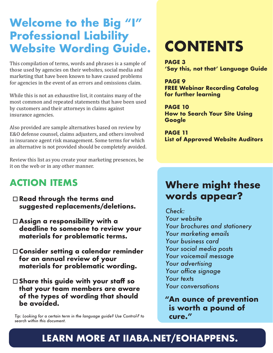## **Welcome to the Big "I" Professional Liability Website Wording Guide.**

This compilation of terms, words and phrases is a sample of those used by agencies on their websites, social media and marketing that have been known to have caused problems for agencies in the event of an errors and omissions claim.

While this is not an exhaustive list, it contains many of the most common and repeated statements that have been used by customers and their attorneys in claims against insurance agencies.

Also provided are sample alternatives based on review by E&O defense counsel, claims adjusters, and others involved in insurance agent risk management. Some terms for which an alternative is not provided should be completely avoided.

Review this list as you create your marketing presences, be it on the web or in any other manner.

#### **ACTION ITEMS**

- **Read through the terms and suggested replacements/deletions.**
- **Assign a responsibility with a deadline to someone to review your materials for problematic terms.**
- **Consider setting a calendar reminder for an annual review of your materials for problematic wording.**
- **Share this guide with your staff so that your team members are aware of the types of wording that should be avoided.**

*Tip: Looking for a certain term in the language guide? Use Control-F to search within this document.* 

## **CONTENTS**

**PAGE 3 'Say this, not that' Language Guide**

**PAGE 9 FREE Webinar Recording Catalog for further learning** 

**PAGE 10 How to Search Your Site Using Google** 

**PAGE 11 List of Approved Website Auditors** 

#### **Where might these words appear?**

*Check:* 

*Your website Your brochures and stationery Your marketing emails Your business card Your social media posts Your voicemail message Your advertising Your office signage Your texts Your conversations*

**"An ounce of prevention is worth a pound of cure."**

#### **[LEARN MORE AT IIABA.NET/EOHAPPENS.](https://www.iiaba.net/EOHappens)**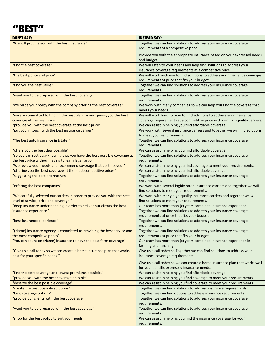### **"BEST"**

| <b>DON'T SAY:</b>                                                         | <b>INSTEAD SAY:</b>                                                          |
|---------------------------------------------------------------------------|------------------------------------------------------------------------------|
| "We will provide you with the best insurance"                             | Together we can find solutions to address your insurance coverage            |
|                                                                           | requirements at a competitive price.                                         |
|                                                                           | Provide you with the appropriate insurance based on your expressed needs     |
|                                                                           | and budget.                                                                  |
|                                                                           |                                                                              |
| "find the best coverage"                                                  | We will listen to your needs and help find solutions to address your         |
|                                                                           | insurance coverage requirements at a competitive price.                      |
| "the best policy and price"                                               | We will work with you to find solutions to address your insurance coverage   |
|                                                                           | requirements at price that fits your budget.                                 |
| "find you the best value"                                                 | Together we can find solutions to address your insurance coverage            |
|                                                                           | requirements.                                                                |
| "want you to be prepared with the best coverage"                          | Together we can find solutions to address your insurance coverage            |
|                                                                           | requirements.                                                                |
| "we place your policy with the company offering the best coverage"        | We work with many companies so we can help you find the coverage that        |
|                                                                           | meets your needs.                                                            |
| "we are committed to finding the best plan for you, giving you the best   | We will work hard for you to find solutions to address your insurance        |
| coverage at the best price."                                              | coverage requirements at a competitive price with our high-quality carriers. |
| "provide you with the best coverage at the best price"                    | We can assist in helping you find affordable coverage.                       |
|                                                                           |                                                                              |
| "put you in touch with the best insurance carrier"                        | We work with several insurance carriers and together we will find solutions  |
|                                                                           | to meet your requirements.                                                   |
| "The best auto insurance in (state)"                                      | Together we can find solutions to address your insurance coverage            |
|                                                                           | requirements.                                                                |
| "offers you the best deal possible"                                       | We can assist in helping you find affordable coverage.                       |
| "so you can rest easy knowing that you have the best possible coverage at | Together we can find solutions to address your insurance coverage            |
| the best price without having to learn legal jargon"                      | requirements.                                                                |
| "We review your needs and recommend coverage that best fits you."         | We can assist in helping you find coverage to meet your requirements.        |
| "offering you the best coverage at the most competitive prices"           | We can assist in helping you find affordable coverage.                       |
| "suggesting the best alternatives"                                        | Together we can find solutions to address your insurance coverage            |
|                                                                           |                                                                              |
|                                                                           | requirements.                                                                |
| "offering the best companies"                                             | We work with several highly rated insurance carriers and together we will    |
|                                                                           | find solutions to meet your requirements.                                    |
| "We carefully selected our carriers in order to provide you with the best | We work with many high-quality insurance carriers and together we will       |
| level of service, price and coverage."                                    | find solutions to meet your requirements.                                    |
| "deep insurance understanding in order to deliver our clients the best    | Our team has more than (x) years combined insurance experience.              |
| insurance experience."                                                    | Together we can find solutions to address your insurance coverage            |
|                                                                           | requirements at price that fits your budget.                                 |
| "best insurance experience"                                               | Together we can find solutions to address your insurance coverage            |
|                                                                           | requirements.                                                                |
| "(Name) Insurance Agency is committed to providing the best service and   | Together we can find solutions to address your insurance coverage            |
| the most competitive prices"                                              | requirements at price that fits your budget.                                 |
| "You can count on (Name) Insurance to have the best farm coverage"        | Our team has more than (x) years combined insurance experience in            |
|                                                                           | farming and ranching.                                                        |
|                                                                           | Give us a call today so Together we can find solutions to address your       |
| "Give us a call today so we can create a home insurance plan that works   |                                                                              |
| best for your specific needs."                                            | insurance coverage requirements.                                             |
|                                                                           | Give us a call today so we can create a home insurance plan that works well  |
|                                                                           | for your specific expressed insurance needs.                                 |
| "find the best coverage and lowest premiums possible."                    | We can assist in helping you find affordable coverage.                       |
| "provide you with the best coverage possible"                             | We can assist in helping you find coverage to meet your requirements.        |
| "deserve the best possible coverage"                                      | We can assist in helping you find coverage to meet your requirements.        |
|                                                                           |                                                                              |
| "create the best possible solutions"                                      | Together we can find solutions to address insurance requirements.            |
| "best coverage options"                                                   | Together we can find options to address insurance requirements.              |
| "provide our clients with the best coverage"                              | Together we can find solutions to address your insurance coverage            |
|                                                                           | requirements.                                                                |
| "want you to be prepared with the best coverage"                          | Together we can find solutions to address your insurance coverage            |
|                                                                           | requirements                                                                 |
| "shop for the best policy to suit your needs"                             | We can assist in helping you find the insurance coverage for your            |
|                                                                           | requirements.                                                                |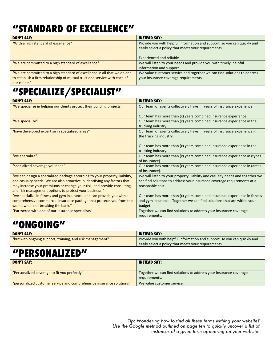#### **"STANDARD OF EXCELLENCE"**

| <b>DON'T SAY:</b>                                                                                                                                                     | <b>INSTEAD SAY:</b>                                                                                                                                           |
|-----------------------------------------------------------------------------------------------------------------------------------------------------------------------|---------------------------------------------------------------------------------------------------------------------------------------------------------------|
| "With a high standard of excellence"                                                                                                                                  | Provide you with helpful information and support, so you can quickly and<br>easily select a policy that meets your requirements.<br>Experienced and reliable. |
| "We are committed to a high standard of excellence"                                                                                                                   | We will listen to your needs and provide you with timely, helpful<br>information and support.                                                                 |
| "We are committed to a high standard of excellence in all that we do and<br>to establish a firm relationship of mutual trust and service with each of<br>our clients" | We value customer service and together we can find solutions to address<br>your insurance coverage requirements.                                              |
|                                                                                                                                                                       |                                                                                                                                                               |

## **"SPECIALIZE/SPECIALIST"**

| <b>DON'T SAY:</b>                                                           | <b>INSTEAD SAY:</b>                                                                                |
|-----------------------------------------------------------------------------|----------------------------------------------------------------------------------------------------|
| "We specialize in helping our clients protect their building projects"      | Our team of agents collectively have __ years of insurance experience.                             |
|                                                                             | Our team has more than (x) years combined insurance experience.                                    |
| "We specialize"                                                             | Our team has more than (x) years combined insurance experience in the<br>trucking industry.        |
| "have developed expertise in specialized areas"                             | Our team of agents collectively have __ years of insurance experience in<br>the trucking industry. |
|                                                                             | Our team has more than (x) years combined insurance experience in the<br>trucking industry.        |
| "we specialize"                                                             | Our team has more than (x) years combined insurance experience in (types<br>of insurance)          |
| "specialized coverage you need"                                             | Our team has more than (x) years combined insurance experience in (areas<br>of insurance).         |
| "we can design a specialized package according to your property, liability, | We will listen to your property, liability and casualty needs and together we                      |
| and casualty needs. We are also proactive in identifying any factors that   | can find solutions to address your insurance coverage requirements at a                            |
| may increase your premiums or change your risk, and provide consulting      | reasonable cost.                                                                                   |
| and risk management options to protect your business."                      |                                                                                                    |
| "we specialize in fitness and gym insurance, and can provide you with a     | Our team has more than (x) years combined insurance experience in fitness                          |
| comprehensive commercial insurance package that protects you from the       | and gym insurance. Together we can find solutions that are within your                             |
| worst, while not breaking the bank."                                        | budget.                                                                                            |
| "Partnered with one of our Insurance specialists"                           | Together we can find solutions to address your insurance coverage                                  |
|                                                                             | requirements.                                                                                      |

### **"ONGOING"**

| <b>DON'T SAY:</b>                                         | <b>INSTEAD SAY:</b>                                                      |
|-----------------------------------------------------------|--------------------------------------------------------------------------|
| "but with ongoing support, training, and risk management" | Provide you with helpful information and support, so you can quickly and |
|                                                           | easily select a policy that meets your requirements.                     |

#### **"PERSONALIZED"**

| <b>DON'T SAY:</b>                                                     | <b>INSTEAD SAY:</b>                                               |
|-----------------------------------------------------------------------|-------------------------------------------------------------------|
| "Personalized coverage to fit you perfectly"                          | Together we can find solutions to address your insurance coverage |
|                                                                       | requirements.                                                     |
| "personalized customer service and comprehensive insurance solutions" | We value customer service.                                        |

*Tip: Wondering how to find all these terms withing your website? Use the Google method outlined on page ten to quickly uncover a list of instances of a given term appearing on your website.*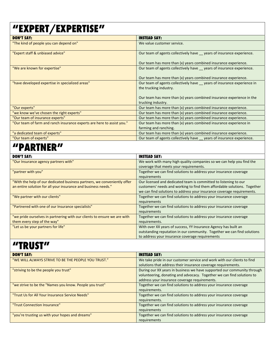#### **"EXPERT/EXPERTISE"**

| <b>DON'T SAY:</b>                                                      | <b>INSTEAD SAY:</b>                                                                               |
|------------------------------------------------------------------------|---------------------------------------------------------------------------------------------------|
| "The kind of people you can depend on"                                 | We value customer service.                                                                        |
| "Expert staff & unbiased advice"                                       | Our team of agents collectively have years of insurance experience.                               |
|                                                                        | Our team has more than (x) years combined insurance experience.                                   |
| "We are known for expertise"                                           | Our team of agents collectively have __ years of insurance experience.                            |
|                                                                        | Our team has more than (x) years combined insurance experience.                                   |
| "have developed expertise in specialized areas"                        | Our team of agents collectively have _ years of insurance experience in<br>the trucking industry. |
|                                                                        | Our team has more than (x) years combined insurance experience in the<br>trucking industry.       |
| "Our experts"                                                          | Our team has more than (x) years combined insurance experience.                                   |
| "we know we've chosen the right experts"                               | Our team has more than (x) years combined insurance experience.                                   |
| "Our team of insurance experts"                                        | Our team has more than (x) years combined insurance experience.                                   |
| "Our team of farm and ranch insurance experts are here to assist you." | Our team has more than (x) years combined insurance experience in<br>farming and ranching.        |
| "a dedicated team of experts"                                          | Our team has more than (x) years combined insurance experience.                                   |
| "Our team of experts"                                                  | Our team of agents collectively have years of insurance experience.                               |

#### **"PARTNER"**

| <b>DON'T SAY:</b>                                                        | <b>INSTEAD SAY:</b>                                                      |
|--------------------------------------------------------------------------|--------------------------------------------------------------------------|
| "Our Insurance agency partners with"                                     | We work with many high quality companies so we can help you find the     |
|                                                                          | coverage that meets your requirements.                                   |
| "partner with you"                                                       | Together we can find solutions to address your insurance coverage        |
|                                                                          | requirements                                                             |
| "With the help of our dedicated business partners, we conveniently offer | Our licensed and dedicated team is committed to listening to our         |
| an entire solution for all your insurance and business needs."           | customers' needs and working to find them affordable solutions. Together |
|                                                                          | we can find solutions to address your insurance coverage requirements.   |
| "We partner with our clients"                                            | Together we can find solutions to address your insurance coverage        |
|                                                                          | requirements                                                             |
| "Partnered with one of our Insurance specialists"                        | Together we can find solutions to address your insurance coverage        |
|                                                                          | requirements                                                             |
| "we pride ourselves in partnering with our clients to ensure we are with | Together we can find solutions to address your insurance coverage        |
| them every step of the way"                                              | requirements.                                                            |
| "Let us be your partners for life"                                       | With over XX years of success, YY Insurance Agency has built an          |
|                                                                          | outstanding reputation in our community. Together we can find solutions  |
|                                                                          | to address your insurance coverage requirements                          |

#### **"TRUST"**

| <b>DON'T SAY:</b>                                       | <b>INSTEAD SAY:</b>                                                     |
|---------------------------------------------------------|-------------------------------------------------------------------------|
| "WE WILL ALWAYS STRIVE TO BE THE PEOPLE YOU TRUST."     | We take pride in our customer service and work with our clients to find |
|                                                         | solutions that address their insurance coverage requirements.           |
| "striving to be the people you trust"                   | During our XX years in business we have supported our community through |
|                                                         | volunteering, donating and advocacy. Together we can find solutions to  |
|                                                         | address your insurance coverage requirements.                           |
| "we strive to be the "Names you know. People you trust" | Together we can find solutions to address your insurance coverage       |
|                                                         | requirements.                                                           |
| "Trust Us for All Your Insurance Service Needs"         | Together we can find solutions to address your insurance coverage       |
|                                                         | requirements.                                                           |
| "Trust Connection Insurance"                            | Together we can find solutions to address your insurance coverage       |
|                                                         | requirements                                                            |
| "you're trusting us with your hopes and dreams"         | Together we can find solutions to address your insurance coverage       |
|                                                         | requirements                                                            |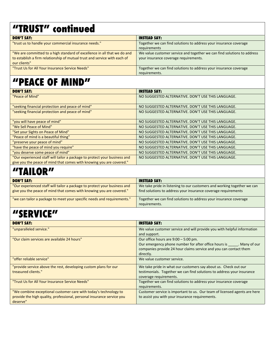#### **"TRUST" continued**

| <b>DON'T SAY:</b>                                                         | <b>INSTEAD SAY:</b>                                                     |
|---------------------------------------------------------------------------|-------------------------------------------------------------------------|
| "trust us to handle your commercial insurance needs."                     | Together we can find solutions to address your insurance coverage       |
|                                                                           | requirements                                                            |
| "We are committed to a high standard of excellence in all that we do and  | We value customer service and together we can find solutions to address |
| to establish a firm relationship of mutual trust and service with each of | your insurance coverage requirements.                                   |
| our clients"                                                              |                                                                         |
| "Trust Us for All Your Insurance Service Needs"                           | Together we can find solutions to address your insurance coverage       |
|                                                                           | requirements.                                                           |

### **"PEACE OF MIND"**

| <b>DON'T SAY:</b>                                                         | <b>INSTEAD SAY:</b>                                |
|---------------------------------------------------------------------------|----------------------------------------------------|
| "Peace of Mind"                                                           | NO SUGGESTED ALTERNATIVE, DON'T USE THIS LANGUAGE. |
|                                                                           |                                                    |
| "seeking financial protection and peace of mind"                          | NO SUGGESTED ALTERNATIVE. DON'T USE THIS LANGUAGE. |
| "seeking financial protection and peace of mind"                          | NO SUGGESTED ALTERNATIVE, DON'T USE THIS LANGUAGE. |
|                                                                           |                                                    |
| "you will have peace of mind"                                             | NO SUGGESTED ALTERNATIVE, DON'T USE THIS LANGUAGE. |
| "We Sell Peace of Mind"                                                   | NO SUGGESTED ALTERNATIVE. DON'T USE THIS LANGUAGE. |
| "Set your Sights on Peace of Mind"                                        | NO SUGGESTED ALTERNATIVE. DON'T USE THIS LANGUAGE. |
| "Peace of mind is a beautiful thing"                                      | NO SUGGESTED ALTERNATIVE. DON'T USE THIS LANGUAGE. |
| "preserve your peace of mind"                                             | NO SUGGESTED ALTERNATIVE, DON'T USE THIS LANGUAGE. |
| "have the peace of mind you require"                                      | NO SUGGESTED ALTERNATIVE. DON'T USE THIS LANGUAGE. |
| "you deserve some peace of mind"                                          | NO SUGGESTED ALTERNATIVE, DON'T USE THIS LANGUAGE. |
| "Our experienced staff will tailor a package to protect your business and | NO SUGGESTED ALTERNATIVE. DON'T USE THIS LANGUAGE. |
| give you the peace of mind that comes with knowing you are covered."      |                                                    |

## **"TAILOR"**

| <b>DON'T SAY:</b>                                                                                                                                 | <b>INSTEAD SAY:</b>                                                                                                                       |
|---------------------------------------------------------------------------------------------------------------------------------------------------|-------------------------------------------------------------------------------------------------------------------------------------------|
| "Our experienced staff will tailor a package to protect your business and<br>give you the peace of mind that comes with knowing you are covered." | We take pride in listening to our customers and working together we can<br>find solutions to address your insurance coverage requirements |
| "we can tailor a package to meet your specific needs and requirements."                                                                           | Together we can find solutions to address your insurance coverage<br>requirements.                                                        |

#### **"SERVICE"**

| <b>DON'T SAY:</b>                                                                                                                                      | <b>INSTEAD SAY:</b>                                                                                                                                                                          |
|--------------------------------------------------------------------------------------------------------------------------------------------------------|----------------------------------------------------------------------------------------------------------------------------------------------------------------------------------------------|
| "unparalleled service."                                                                                                                                | We value customer service and will provide you with helpful information<br>and support.                                                                                                      |
| "Our claim services are available 24 hours"                                                                                                            | Our office hours are $9:00 - 5:00$ pm.<br>Our emergency phone number for after office hours is Many of our<br>companies provide 24 hour claims service and you can contact them<br>directly. |
| "offer reliable service"                                                                                                                               | We value customer service.                                                                                                                                                                   |
| "provide service above the rest, developing custom plans for our<br>treasured clients."                                                                | We take pride in what our customers say about us. Check out our<br>testimonials. Together we can find solutions to address your insurance<br>coverage requirements.                          |
| "Trust Us for All Your Insurance Service Needs"                                                                                                        | Together we can find solutions to address your insurance coverage<br>requirements.                                                                                                           |
| "We combine exceptional customer care with today's technology to<br>provide the high quality, professional, personal insurance service you<br>deserve" | Customer service is important to us. Our team of licensed agents are here<br>to assist you with your insurance requirements.                                                                 |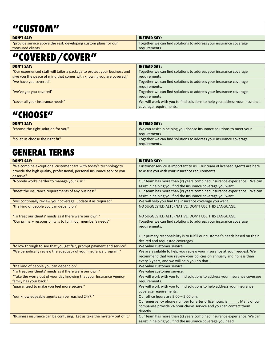#### **"CUSTOM"**

| <b>DON'T SAY:</b>                                                | <b>INSTEAD SAY:</b>                                               |
|------------------------------------------------------------------|-------------------------------------------------------------------|
| "provide service above the rest, developing custom plans for our | Together we can find solutions to address your insurance coverage |
| treasured clients."                                              | requirements.                                                     |
|                                                                  |                                                                   |

## **"COVERED/COVER"**

| <b>DON'T SAY:</b>                                                         | <b>INSTEAD SAY:</b>                                                        |
|---------------------------------------------------------------------------|----------------------------------------------------------------------------|
| "Our experienced staff will tailor a package to protect your business and | Together we can find solutions to address your insurance coverage          |
| give you the peace of mind that comes with knowing you are covered."      | requirements                                                               |
| "we have you covered"                                                     | Together we can find solutions to address your insurance coverage          |
|                                                                           | requirements.                                                              |
| "we've got you covered"                                                   | Together we can find solutions to address your insurance coverage          |
|                                                                           | requirements                                                               |
| "cover all your insurance needs"                                          | We will work with you to find solutions to help you address your insurance |
|                                                                           | coverage requirements.                                                     |

#### **"CHOOSE"**

| <b>DON'T SAY:</b>                   | <b>INSTEAD SAY:</b>                                                  |
|-------------------------------------|----------------------------------------------------------------------|
| "choose the right solution for you" | We can assist in helping you choose insurance solutions to meet your |
|                                     | requirements.                                                        |
| "so let us choose the right fit"    | Together we can find solutions to address your insurance coverage    |
|                                     | requirements.                                                        |

#### **GENERAL TERMS**

| <b>DON'T SAY:</b>                                                         | <b>INSTEAD SAY:</b>                                                                |
|---------------------------------------------------------------------------|------------------------------------------------------------------------------------|
| "We combine exceptional customer care with today's technology to          | Customer service is important to us. Our team of licensed agents are here          |
| provide the high quality, professional, personal insurance service you    | to assist you with your insurance requirements.                                    |
| deserve"                                                                  |                                                                                    |
| "Nobody works harder to manage your risk."                                | Our team has more than (x) years combined insurance experience. We can             |
|                                                                           | assist in helping you find the insurance coverage you want.                        |
| "meet the insurance requirements of any business"                         | Our team has more than (x) years combined insurance experience. We can             |
|                                                                           | assist in helping you find the insurance coverage you want.                        |
| "will continually review your coverage, update it as required"            | We will help you find the insurance coverage you want.                             |
| "the kind of people you can depend on"                                    | NO SUGGESTED ALTERNATIVE. DON'T USE THIS LANGUAGE.                                 |
| "To treat our clients' needs as if there were our own."                   | NO SUGGESTED ALTERNATIVE. DON'T USE THIS LANGUAGE.                                 |
| "Our primary responsibility is to fulfill our member's needs"             | Together we can find solutions to address your insurance coverage<br>requirements. |
|                                                                           | Our primary responsibility is to fulfill our customer's needs based on their       |
|                                                                           | desired and requested coverages.                                                   |
| "follow through to see that you get fair, prompt payment and service"     | We value customer service.                                                         |
| "We periodically review the adequacy of your insurance program."          | We are available to help you review your insurance at your request. We             |
|                                                                           | recommend that you review your policies on annually and no less than               |
|                                                                           | every 3 years, and we will help you do that.                                       |
| "the kind of people you can depend on"                                    | We value customer service.                                                         |
| "To treat our clients' needs as if there were our own."                   | We value customer service.                                                         |
| "Take the worry out of your day knowing that your Insurance Agency        | We will work with you to find solutions to address your insurance coverage         |
| family has your back."                                                    | requirements.                                                                      |
| "guaranteed to make you feel more secure."                                | We will work with you to find solutions to help address your insurance             |
|                                                                           | coverage requirements.                                                             |
| "our knowledgeable agents can be reached 24/7."                           | Our office hours are 9:00 - 5:00 pm.                                               |
|                                                                           | Our emergency phone number for after office hours is ______. Many of our           |
|                                                                           | companies provide 24 hour claims service and you can contact them                  |
|                                                                           | directly.                                                                          |
| "Business insurance can be confusing. Let us take the mystery out of it." | Our team has more than (x) years combined insurance experience. We can             |
|                                                                           | assist in helping you find the insurance coverage you need.                        |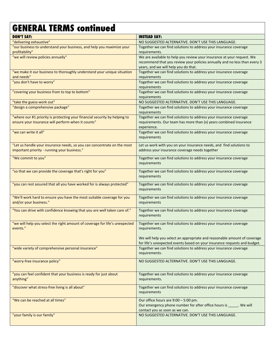#### **GENERAL TERMS continued**

| <b>DON'T SAY:</b>                                                                       | <b>INSTEAD SAY:</b>                                                                |
|-----------------------------------------------------------------------------------------|------------------------------------------------------------------------------------|
| "delivering exhaustive"                                                                 | NO SUGGESTED ALTERNATIVE. DON'T USE THIS LANGUAGE.                                 |
| "our business to understand your business, and help you maximize your                   | Together we can find solutions to address your insurance coverage                  |
| profitability"                                                                          | requirements.                                                                      |
| "we will review policies annually"                                                      | We are available to help you review your insurance at your request. We             |
|                                                                                         | recommend that you review your policies annually and no less than every 3          |
|                                                                                         | years, and we will help you do that.                                               |
| "we make it our business to thoroughly understand your unique situation                 | Together we can find solutions to address your insurance coverage                  |
| and needs"                                                                              | requirements                                                                       |
| "you don't have to worry"                                                               | Together we can find solutions to address your insurance coverage                  |
|                                                                                         | requirements                                                                       |
| "covering your business from to top to bottom"                                          | Together we can find solutions to address your insurance coverage<br>requirements  |
| "take the guess-work out"                                                               | NO SUGGESTED ALTERNATIVE. DON'T USE THIS LANGUAGE.                                 |
| "design a comprehensive package"                                                        | Together we can find solutions to address your insurance coverage                  |
|                                                                                         | requirements                                                                       |
| "where our #1 priority is protecting your financial security by helping to              | Together we can find solutions to address your insurance coverage                  |
| ensure your insurance will perform when it counts"                                      | requirements. Our team has more than (x) years combined insurance                  |
|                                                                                         | experience.                                                                        |
| "we can write it all"                                                                   | Together we can find solutions to address your insurance coverage                  |
|                                                                                         | requirements                                                                       |
| "Let us handle your insurance needs, so you can concentrate on the most                 | Let us work with you on your insurance needs, and find solutions to                |
| important priority - running your business."                                            | address your insurance coverage needs together                                     |
|                                                                                         |                                                                                    |
| "We commit to you"                                                                      | Together we can find solutions to address your insurance coverage                  |
|                                                                                         | requirements                                                                       |
| "so that we can provide the coverage that's right for you"                              | Together we can find solutions to address your insurance coverage                  |
|                                                                                         | requirements                                                                       |
|                                                                                         |                                                                                    |
| "you can rest assured that all you have worked for is always protected"                 | Together we can find solutions to address your insurance coverage<br>requirements  |
|                                                                                         |                                                                                    |
| "We'll work hard to ensure you have the most suitable coverage for you                  | Together we can find solutions to address your insurance coverage                  |
| and/or your business."                                                                  | requirements                                                                       |
| "You can drive with confidence knowing that you are well taken care of."                | Together we can find solutions to address your insurance coverage                  |
|                                                                                         | requirements                                                                       |
|                                                                                         |                                                                                    |
| "we will help you select the right amount of coverage for life's unexpected<br>events." | Together we can find solutions to address your insurance coverage<br>requirements. |
|                                                                                         |                                                                                    |
|                                                                                         | We will help you select an appropriate and reasonable amount of coverage           |
|                                                                                         | for life's unexpected events based on your insurance requests and budget.          |
| "wide variety of comprehensive personal insurance"                                      | Together we can find solutions to address your insurance coverage                  |
|                                                                                         | requirements.                                                                      |
| "worry-free insurance policy"                                                           | NO SUGGESTED ALTERNATIVE. DON'T USE THIS LANGUAGE.                                 |
|                                                                                         |                                                                                    |
|                                                                                         |                                                                                    |
| "you can feel confident that your business is ready for just about                      | Together we can find solutions to address your insurance coverage                  |
| anything"                                                                               | requirements.                                                                      |
| "discover what stress-free living is all about"                                         | Together we can find solutions to address your insurance coverage                  |
|                                                                                         | requirements                                                                       |
| "We can be reached at all times"                                                        | Our office hours are 9:00 - 5:00 pm.                                               |
|                                                                                         | Our emergency phone number for after office hours is ______. We will               |
|                                                                                         | contact you as soon as we can.                                                     |
| "your family is our family"                                                             | NO SUGGESTED ALTERNATIVE. DON'T USE THIS LANGUAGE.                                 |
|                                                                                         |                                                                                    |
|                                                                                         |                                                                                    |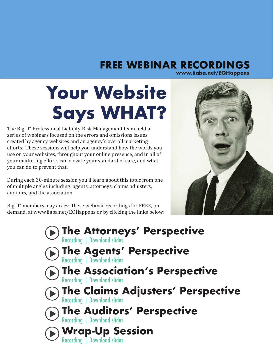#### **FREE WEBINAR RECORDINGS www.iiaba.net/EOHappens**

## **Your Website Says WHAT?**

The Big "I" Professional Liability Risk Management team held a series of webinars focused on the errors and omissions issues created by agency websites and an agency's overall marketing efforts. These sessions will help you understand how the words you use on your websites, throughout your online presence, and in all of your marketing efforts can elevate your standard of care, and what you can do to prevent that.

During each 30-minute session you'll learn about this topic from one of multiple angles including: agents, attorneys, claims adjusters, auditors, and the association.

Big "I" members may access these webinar recordings for FREE, on demand, at www.iiaba.net/EOHappens or by clicking the links below:

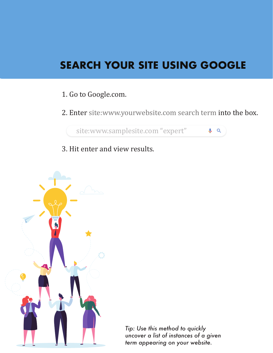### **SEARCH YOUR SITE USING GOOGLE**

- 1. Go to Google.com.
- 2. Enter site:www.yourwebsite.com search term into the box.

 $Q Q$ 

site:www.samplesite.com "expert"

3. Hit enter and view results.



*Tip: Use this method to quickly uncover a list of instances of a given term appearing on your website.*